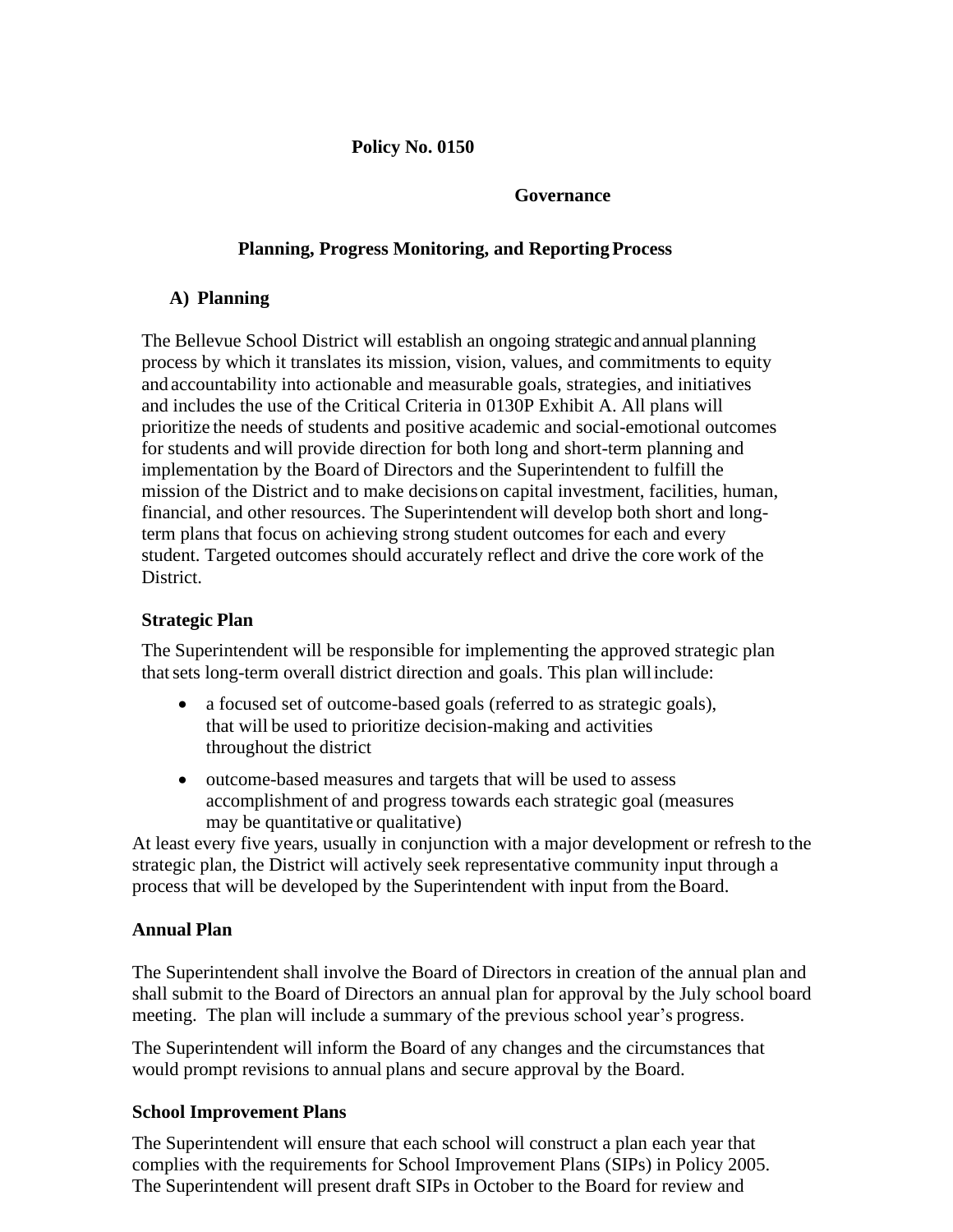### **Policy No. 0150**

#### **Governance**

### **Planning, Progress Monitoring, and Reporting Process**

## **A) Planning**

The Bellevue School District will establish an ongoing strategic and annual planning process by which it translates its mission, vision, values, and commitments to equity and accountability into actionable and measurable goals, strategies, and initiatives and includes the use of the Critical Criteria in 0130P Exhibit A. All plans will prioritize the needs of students and positive academic and social-emotional outcomes for students and will provide direction for both long and short-term planning and implementation by the Board of Directors and the Superintendent to fulfill the mission of the District and to make decisionson capital investment, facilities, human, financial, and other resources. The Superintendent will develop both short and longterm plans that focus on achieving strong student outcomes for each and every student. Targeted outcomes should accurately reflect and drive the core work of the District.

#### **Strategic Plan**

The Superintendent will be responsible for implementing the approved strategic plan thatsets long-term overall district direction and goals. This plan willinclude:

- a focused set of outcome-based goals (referred to as strategic goals), that will be used to prioritize decision-making and activities throughout the district
- outcome-based measures and targets that will be used to assess accomplishment of and progress towards each strategic goal (measures may be quantitative or qualitative)

At least every five years, usually in conjunction with a major development or refresh to the strategic plan, the District will actively seek representative community input through a process that will be developed by the Superintendent with input from theBoard.

#### **Annual Plan**

The Superintendent shall involve the Board of Directors in creation of the annual plan and shall submit to the Board of Directors an annual plan for approval by the July school board meeting. The plan will include a summary of the previous school year's progress.

The Superintendent will inform the Board of any changes and the circumstances that would prompt revisions to annual plans and secure approval by the Board.

# **School Improvement Plans**

The Superintendent will ensure that each school will construct a plan each year that complies with the requirements for School Improvement Plans (SIPs) in Policy 2005. The Superintendent will present draft SIPs in October to the Board for review and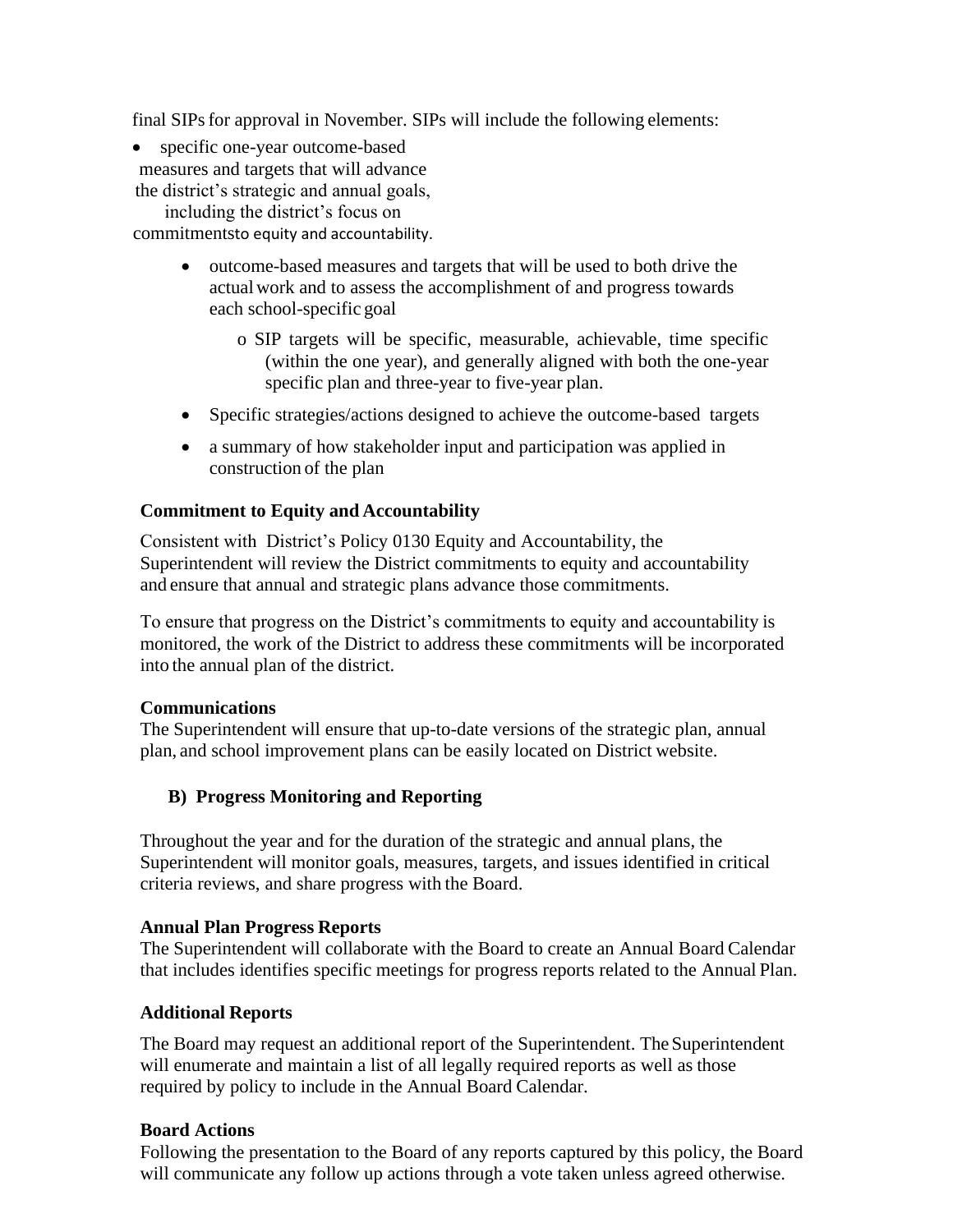final SIPs for approval in November. SIPs will include the following elements:

• specific one-year outcome-based measures and targets that will advance

the district's strategic and annual goals, including the district's focus on

commitmentsto equity and accountability.

- outcome-based measures and targets that will be used to both drive the actualwork and to assess the accomplishment of and progress towards each school-specific goal
	- o SIP targets will be specific, measurable, achievable, time specific (within the one year), and generally aligned with both the one-year specific plan and three-year to five-year plan.
- Specific strategies/actions designed to achieve the outcome-based targets
- a summary of how stakeholder input and participation was applied in construction of the plan

#### **Commitment to Equity and Accountability**

Consistent with District's Policy 0130 Equity and Accountability, the Superintendent will review the District commitments to equity and accountability and ensure that annual and strategic plans advance those commitments.

To ensure that progress on the District's commitments to equity and accountability is monitored, the work of the District to address these commitments will be incorporated into the annual plan of the district.

#### **Communications**

The Superintendent will ensure that up-to-date versions of the strategic plan, annual plan, and school improvement plans can be easily located on District website.

#### **B) Progress Monitoring and Reporting**

Throughout the year and for the duration of the strategic and annual plans, the Superintendent will monitor goals, measures, targets, and issues identified in critical criteria reviews, and share progress with the Board.

#### **Annual Plan Progress Reports**

The Superintendent will collaborate with the Board to create an Annual Board Calendar that includes identifies specific meetings for progress reports related to the Annual Plan.

#### **Additional Reports**

The Board may request an additional report of the Superintendent. The Superintendent will enumerate and maintain a list of all legally required reports as well as those required by policy to include in the Annual Board Calendar.

#### **Board Actions**

Following the presentation to the Board of any reports captured by this policy, the Board will communicate any follow up actions through a vote taken unless agreed otherwise.